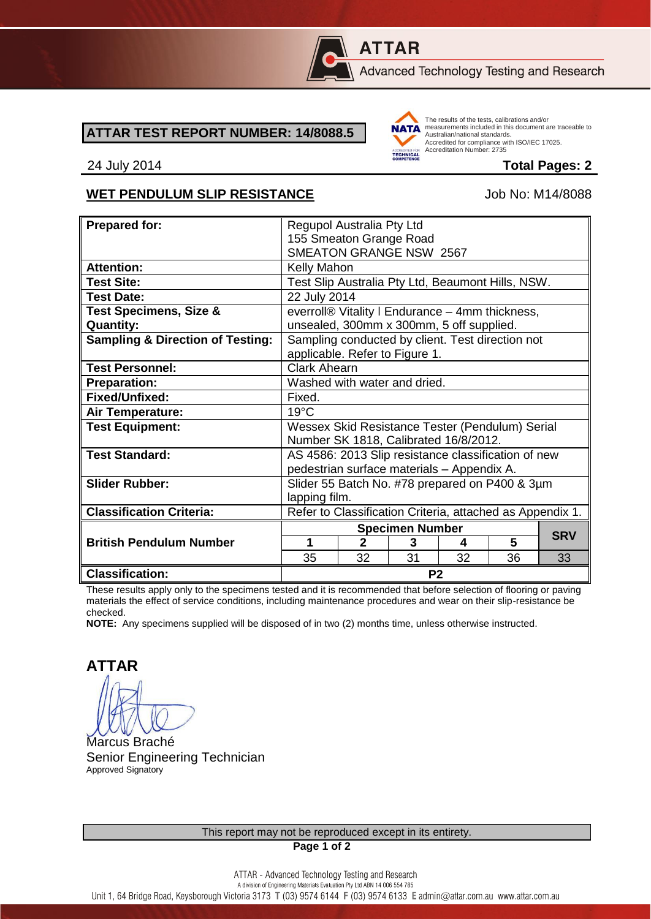

## **ATTAR**

Advanced Technology Testing and Research

## **ATTAR TEST REPORT NUMBER: 14/8088.5**



The results of the tests, calibrations and/or measurements included in this document are traceable to Australian/national standards. Adstrational Miditional Standards:<br>Accredited for compliance with ISO/IEC 17025. Accreditation Number: 2735

24 July 2014 **Total Pages: 2**

## WET PENDULUM SLIP RESISTANCE Job No: M14/8088

| <b>Prepared for:</b>                        | Regupol Australia Pty Ltd                                 |              |    |    |    |            |
|---------------------------------------------|-----------------------------------------------------------|--------------|----|----|----|------------|
|                                             | 155 Smeaton Grange Road                                   |              |    |    |    |            |
|                                             | SMEATON GRANGE NSW 2567                                   |              |    |    |    |            |
| <b>Attention:</b>                           | <b>Kelly Mahon</b>                                        |              |    |    |    |            |
| <b>Test Site:</b>                           | Test Slip Australia Pty Ltd, Beaumont Hills, NSW.         |              |    |    |    |            |
| <b>Test Date:</b>                           | 22 July 2014                                              |              |    |    |    |            |
| <b>Test Specimens, Size &amp;</b>           | everroll® Vitality I Endurance - 4mm thickness,           |              |    |    |    |            |
| <b>Quantity:</b>                            | unsealed, 300mm x 300mm, 5 off supplied.                  |              |    |    |    |            |
| <b>Sampling &amp; Direction of Testing:</b> | Sampling conducted by client. Test direction not          |              |    |    |    |            |
|                                             | applicable. Refer to Figure 1.                            |              |    |    |    |            |
| <b>Test Personnel:</b>                      | <b>Clark Ahearn</b>                                       |              |    |    |    |            |
| <b>Preparation:</b>                         | Washed with water and dried.                              |              |    |    |    |            |
| Fixed/Unfixed:                              | Fixed.                                                    |              |    |    |    |            |
| <b>Air Temperature:</b>                     | $19^{\circ}$ C                                            |              |    |    |    |            |
| <b>Test Equipment:</b>                      | Wessex Skid Resistance Tester (Pendulum) Serial           |              |    |    |    |            |
|                                             | Number SK 1818, Calibrated 16/8/2012.                     |              |    |    |    |            |
| <b>Test Standard:</b>                       | AS 4586: 2013 Slip resistance classification of new       |              |    |    |    |            |
|                                             | pedestrian surface materials - Appendix A.                |              |    |    |    |            |
| <b>Slider Rubber:</b>                       | Slider 55 Batch No. #78 prepared on P400 & 3µm            |              |    |    |    |            |
|                                             | lapping film.                                             |              |    |    |    |            |
| <b>Classification Criteria:</b>             | Refer to Classification Criteria, attached as Appendix 1. |              |    |    |    |            |
|                                             | <b>Specimen Number</b>                                    |              |    |    |    |            |
| <b>British Pendulum Number</b>              | 1                                                         | $\mathbf{2}$ | 3  | 4  | 5  | <b>SRV</b> |
|                                             | 35                                                        | 32           | 31 | 32 | 36 | 33         |
| <b>Classification:</b>                      | P <sub>2</sub>                                            |              |    |    |    |            |

These results apply only to the specimens tested and it is recommended that before selection of flooring or paving materials the effect of service conditions, including maintenance procedures and wear on their slip-resistance be checked.

**NOTE:** Any specimens supplied will be disposed of in two (2) months time, unless otherwise instructed.

**ATTAR**

Marcus Braché Senior Engineering Technician Approved Signatory